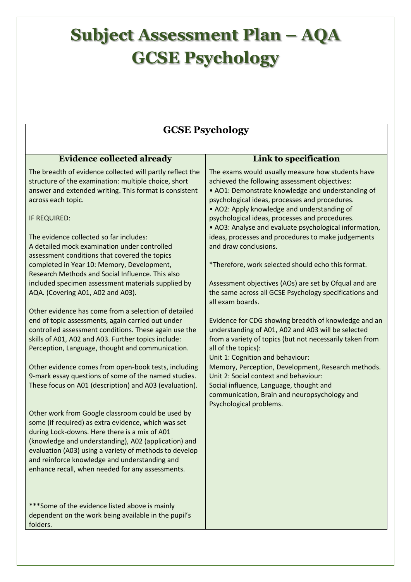## **Subject Assessment Plan – AQA GCSE Psychology**

## **GCSE Psychology**

| <b>Evidence collected already</b>                                                              | Link to specification                                                                         |
|------------------------------------------------------------------------------------------------|-----------------------------------------------------------------------------------------------|
| The breadth of evidence collected will partly reflect the                                      | The exams would usually measure how students have                                             |
| structure of the examination: multiple choice, short                                           | achieved the following assessment objectives:                                                 |
| answer and extended writing. This format is consistent                                         | • AO1: Demonstrate knowledge and understanding of                                             |
| across each topic.                                                                             | psychological ideas, processes and procedures.                                                |
| IF REQUIRED:                                                                                   | • AO2: Apply knowledge and understanding of<br>psychological ideas, processes and procedures. |
|                                                                                                | • AO3: Analyse and evaluate psychological information,                                        |
| The evidence collected so far includes:                                                        | ideas, processes and procedures to make judgements                                            |
| A detailed mock examination under controlled                                                   | and draw conclusions.                                                                         |
| assessment conditions that covered the topics                                                  |                                                                                               |
| completed in Year 10: Memory, Development,<br>Research Methods and Social Influence. This also | *Therefore, work selected should echo this format.                                            |
| included specimen assessment materials supplied by                                             | Assessment objectives (AOs) are set by Ofqual and are                                         |
| AQA. (Covering A01, A02 and A03).                                                              | the same across all GCSE Psychology specifications and                                        |
|                                                                                                | all exam boards.                                                                              |
| Other evidence has come from a selection of detailed                                           |                                                                                               |
| end of topic assessments, again carried out under                                              | Evidence for CDG showing breadth of knowledge and an                                          |
| controlled assessment conditions. These again use the                                          | understanding of A01, A02 and A03 will be selected                                            |
| skills of A01, A02 and A03. Further topics include:                                            | from a variety of topics (but not necessarily taken from                                      |
| Perception, Language, thought and communication.                                               | all of the topics):                                                                           |
|                                                                                                | Unit 1: Cognition and behaviour:                                                              |
| Other evidence comes from open-book tests, including                                           | Memory, Perception, Development, Research methods.                                            |
| 9-mark essay questions of some of the named studies.                                           | Unit 2: Social context and behaviour:                                                         |
| These focus on A01 (description) and A03 (evaluation).                                         | Social influence, Language, thought and<br>communication, Brain and neuropsychology and       |
|                                                                                                | Psychological problems.                                                                       |
| Other work from Google classroom could be used by                                              |                                                                                               |
| some (if required) as extra evidence, which was set                                            |                                                                                               |
| during Lock-downs. Here there is a mix of A01                                                  |                                                                                               |
| (knowledge and understanding), A02 (application) and                                           |                                                                                               |
| evaluation (A03) using a variety of methods to develop                                         |                                                                                               |
| and reinforce knowledge and understanding and                                                  |                                                                                               |
| enhance recall, when needed for any assessments.                                               |                                                                                               |
|                                                                                                |                                                                                               |
|                                                                                                |                                                                                               |
| ***Some of the evidence listed above is mainly                                                 |                                                                                               |
| dependent on the work being available in the pupil's<br>folders.                               |                                                                                               |
|                                                                                                |                                                                                               |